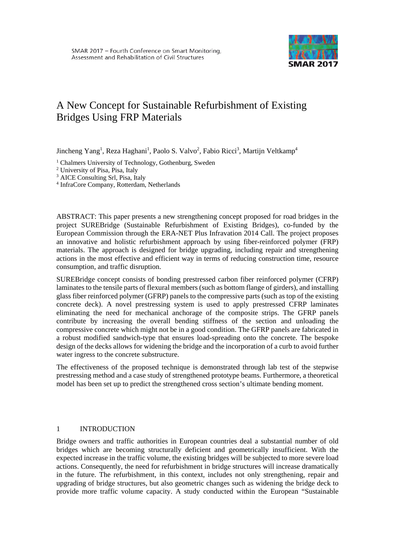

# A New Concept for Sustainable Refurbishment of Existing Bridges Using FRP Materials

Jincheng Yang<sup>1</sup>, Reza Haghani<sup>1</sup>, Paolo S. Valvo<sup>2</sup>, Fabio Ricci<sup>3</sup>, Martijn Veltkamp<sup>4</sup>

<sup>1</sup> Chalmers University of Technology, Gothenburg, Sweden

<sup>2</sup> University of Pisa, Pisa, Italy

<sup>3</sup> AICE Consulting Srl, Pisa, Italy

<sup>4</sup> InfraCore Company, Rotterdam, Netherlands

ABSTRACT: This paper presents a new strengthening concept proposed for road bridges in the project SUREBridge (Sustainable Refurbishment of Existing Bridges), co-funded by the European Commission through the ERA-NET Plus Infravation 2014 Call. The project proposes an innovative and holistic refurbishment approach by using fiber-reinforced polymer (FRP) materials. The approach is designed for bridge upgrading, including repair and strengthening actions in the most effective and efficient way in terms of reducing construction time, resource consumption, and traffic disruption.

SUREBridge concept consists of bonding prestressed carbon fiber reinforced polymer (CFRP) laminates to the tensile parts of flexural members (such as bottom flange of girders), and installing glass fiber reinforced polymer (GFRP) panels to the compressive parts (such as top of the existing concrete deck). A novel prestressing system is used to apply prestressed CFRP laminates eliminating the need for mechanical anchorage of the composite strips. The GFRP panels contribute by increasing the overall bending stiffness of the section and unloading the compressive concrete which might not be in a good condition. The GFRP panels are fabricated in a robust modified sandwich-type that ensures load-spreading onto the concrete. The bespoke design of the decks allows for widening the bridge and the incorporation of a curb to avoid further water ingress to the concrete substructure.

The effectiveness of the proposed technique is demonstrated through lab test of the stepwise prestressing method and a case study of strengthened prototype beams. Furthermore, a theoretical model has been set up to predict the strengthened cross section's ultimate bending moment.

#### 1 INTRODUCTION

Bridge owners and traffic authorities in European countries deal a substantial number of old bridges which are becoming structurally deficient and geometrically insufficient. With the expected increase in the traffic volume, the existing bridges will be subjected to more severe load actions. Consequently, the need for refurbishment in bridge structures will increase dramatically in the future. The refurbishment, in this context, includes not only strengthening, repair and upgrading of bridge structures, but also geometric changes such as widening the bridge deck to provide more traffic volume capacity. A study conducted within the European "Sustainable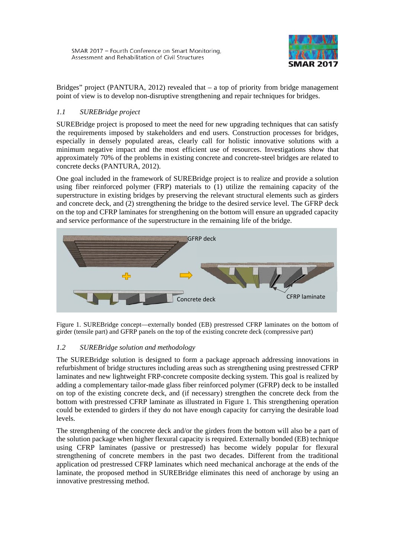

Bridges" project (PANTURA, 2012) revealed that – a top of priority from bridge management point of view is to develop non-disruptive strengthening and repair techniques for bridges.

# *1.1 SUREBridge project*

SUREBridge project is proposed to meet the need for new upgrading techniques that can satisfy the requirements imposed by stakeholders and end users. Construction processes for bridges, especially in densely populated areas, clearly call for holistic innovative solutions with a minimum negative impact and the most efficient use of resources. Investigations show that approximately 70% of the problems in existing concrete and concrete-steel bridges are related to concrete decks (PANTURA, 2012).

One goal included in the framework of SUREBridge project is to realize and provide a solution using fiber reinforced polymer (FRP) materials to (1) utilize the remaining capacity of the superstructure in existing bridges by preserving the relevant structural elements such as girders and concrete deck, and (2) strengthening the bridge to the desired service level. The GFRP deck on the top and CFRP laminates for strengthening on the bottom will ensure an upgraded capacity and service performance of the superstructure in the remaining life of the bridge.



<span id="page-1-0"></span>Figure 1. SUREBridge concept—externally bonded (EB) prestressed CFRP laminates on the bottom of girder (tensile part) and GFRP panels on the top of the existing concrete deck (compressive part)

## *1.2 SUREBridge solution and methodology*

The SUREBridge solution is designed to form a package approach addressing innovations in refurbishment of bridge structures including areas such as strengthening using prestressed CFRP laminates and new lightweight FRP-concrete composite decking system. This goal is realized by adding a complementary tailor-made glass fiber reinforced polymer (GFRP) deck to be installed on top of the existing concrete deck, and (if necessary) strengthen the concrete deck from the bottom with prestressed CFRP laminate as illustrated in [Figure 1.](#page-1-0) This strengthening operation could be extended to girders if they do not have enough capacity for carrying the desirable load levels.

The strengthening of the concrete deck and/or the girders from the bottom will also be a part of the solution package when higher flexural capacity is required. Externally bonded (EB) technique using CFRP laminates (passive or prestressed) has become widely popular for flexural strengthening of concrete members in the past two decades. Different from the traditional application od prestressed CFRP laminates which need mechanical anchorage at the ends of the laminate, the proposed method in SUREBridge eliminates this need of anchorage by using an innovative prestressing method.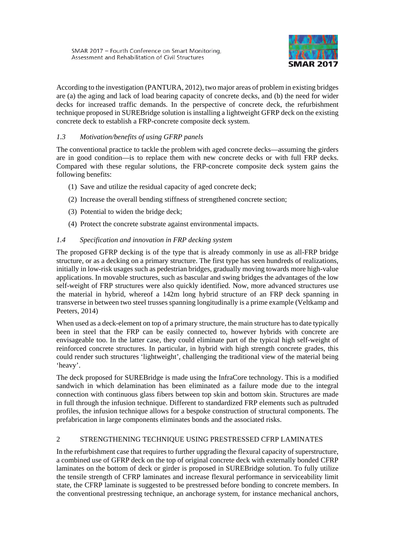

According to the investigation (PANTURA, 2012), two major areas of problem in existing bridges are (a) the aging and lack of load bearing capacity of concrete decks, and (b) the need for wider decks for increased traffic demands. In the perspective of concrete deck, the refurbishment technique proposed in SUREBridge solution is installing a lightweight GFRP deck on the existing concrete deck to establish a FRP-concrete composite deck system.

# *1.3 Motivation/benefits of using GFRP panels*

The conventional practice to tackle the problem with aged concrete decks—assuming the girders are in good condition—is to replace them with new concrete decks or with full FRP decks. Compared with these regular solutions, the FRP-concrete composite deck system gains the following benefits:

- (1) Save and utilize the residual capacity of aged concrete deck;
- (2) Increase the overall bending stiffness of strengthened concrete section;
- (3) Potential to widen the bridge deck;
- (4) Protect the concrete substrate against environmental impacts.

## *1.4 Specification and innovation in FRP decking system*

The proposed GFRP decking is of the type that is already commonly in use as all-FRP bridge structure, or as a decking on a primary structure. The first type has seen hundreds of realizations, initially in low-risk usages such as pedestrian bridges, gradually moving towards more high-value applications. In movable structures, such as bascular and swing bridges the advantages of the low self-weight of FRP structures were also quickly identified. Now, more advanced structures use the material in hybrid, whereof a 142m long hybrid structure of an FRP deck spanning in transverse in between two steel trusses spanning longitudinally is a prime example (Veltkamp and Peeters, 2014)

When used as a deck-element on top of a primary structure, the main structure has to date typically been in steel that the FRP can be easily connected to, however hybrids with concrete are envisageable too. In the latter case, they could eliminate part of the typical high self-weight of reinforced concrete structures. In particular, in hybrid with high strength concrete grades, this could render such structures 'lightweight', challenging the traditional view of the material being 'heavy'.

The deck proposed for SUREBridge is made using the InfraCore technology. This is a modified sandwich in which delamination has been eliminated as a failure mode due to the integral connection with continuous glass fibers between top skin and bottom skin. Structures are made in full through the infusion technique. Different to standardized FRP elements such as pultruded profiles, the infusion technique allows for a bespoke construction of structural components. The prefabrication in large components eliminates bonds and the associated risks.

## 2 STRENGTHENING TECHNIQUE USING PRESTRESSED CFRP LAMINATES

In the refurbishment case that requires to further upgrading the flexural capacity of superstructure, a combined use of GFRP deck on the top of original concrete deck with externally bonded CFRP laminates on the bottom of deck or girder is proposed in SUREBridge solution. To fully utilize the tensile strength of CFRP laminates and increase flexural performance in serviceability limit state, the CFRP laminate is suggested to be prestressed before bonding to concrete members. In the conventional prestressing technique, an anchorage system, for instance mechanical anchors,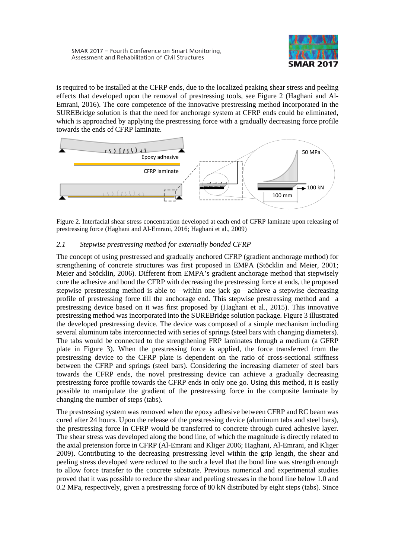

is required to be installed at the CFRP ends, due to the localized peaking shear stress and peeling effects that developed upon the removal of prestressing tools, see [Figure 2](#page-3-0) (Haghani and Al-Emrani, 2016). The core competence of the innovative prestressing method incorporated in the SUREBridge solution is that the need for anchorage system at CFRP ends could be eliminated, which is approached by applying the prestressing force with a gradually decreasing force profile towards the ends of CFRP laminate.



<span id="page-3-0"></span>Figure 2. Interfacial shear stress concentration developed at each end of CFRP laminate upon releasing of prestressing force (Haghani and Al-Emrani, 2016; Haghani et al., 2009)

## *2.1 Stepwise prestressing method for externally bonded CFRP*

The concept of using prestressed and gradually anchored CFRP (gradient anchorage method) for strengthening of concrete structures was first proposed in EMPA (Stöcklin and Meier, 2001; Meier and Stöcklin, 2006). Different from EMPA's gradient anchorage method that stepwisely cure the adhesive and bond the CFRP with decreasing the prestressing force at ends, the proposed stepwise prestressing method is able to—within one jack go—achieve a stepwise decreasing profile of prestressing force till the anchorage end. This stepwise prestressing method and a prestressing device based on it was first proposed by (Haghani et al., 2015). This innovative prestressing method was incorporated into the SUREBridge solution package[. Figure 3](#page-4-0) illustrated the developed prestressing device. The device was composed of a simple mechanism including several aluminum tabs interconnected with series of springs (steel bars with changing diameters). The tabs would be connected to the strengthening FRP laminates through a medium (a GFRP plate in [Figure 3\)](#page-4-0). When the prestressing force is applied, the force transferred from the prestressing device to the CFRP plate is dependent on the ratio of cross-sectional stiffness between the CFRP and springs (steel bars). Considering the increasing diameter of steel bars towards the CFRP ends, the novel prestressing device can achieve a gradually decreasing prestressing force profile towards the CFRP ends in only one go. Using this method, it is easily possible to manipulate the gradient of the prestressing force in the composite laminate by changing the number of steps (tabs).

The prestressing system was removed when the epoxy adhesive between CFRP and RC beam was cured after 24 hours. Upon the release of the prestressing device (aluminum tabs and steel bars), the prestressing force in CFRP would be transferred to concrete through cured adhesive layer. The shear stress was developed along the bond line, of which the magnitude is directly related to the axial pretension force in CFRP (Al-Emrani and Kliger 2006; Haghani, Al-Emrani, and Kliger 2009). Contributing to the decreasing prestressing level within the grip length, the shear and peeling stress developed were reduced to the such a level that the bond line was strength enough to allow force transfer to the concrete substrate. Previous numerical and experimental studies proved that it was possible to reduce the shear and peeling stresses in the bond line below 1.0 and 0.2 MPa, respectively, given a prestressing force of 80 kN distributed by eight steps (tabs). Since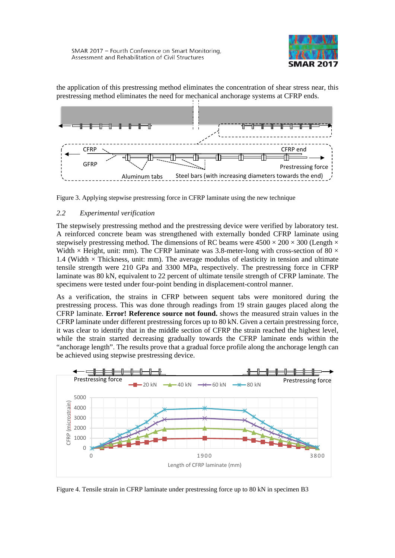

the application of this prestressing method eliminates the concentration of shear stress near, this prestressing method eliminates the need for mechanical anchorage systems at CFRP ends.



<span id="page-4-0"></span>Figure 3. Applying stepwise prestressing force in CFRP laminate using the new technique

## *2.2 Experimental verification*

The stepwisely prestressing method and the prestressing device were verified by laboratory test. A reinforced concrete beam was strengthened with externally bonded CFRP laminate using stepwisely prestressing method. The dimensions of RC beams were  $4500 \times 200 \times 300$  (Length  $\times$ Width  $\times$  Height, unit: mm). The CFRP laminate was 3.8-meter-long with cross-section of 80  $\times$ 1.4 (Width  $\times$  Thickness, unit: mm). The average modulus of elasticity in tension and ultimate tensile strength were 210 GPa and 3300 MPa, respectively. The prestressing force in CFRP laminate was 80 kN, equivalent to 22 percent of ultimate tensile strength of CFRP laminate. The specimens were tested under four-point bending in displacement-control manner.

As a verification, the strains in CFRP between sequent tabs were monitored during the prestressing process. This was done through readings from 19 strain gauges placed along the CFRP laminate. **Error! Reference source not found.** shows the measured strain values in the CFRP laminate under different prestressing forces up to 80 kN. Given a certain prestressing force, it was clear to identify that in the middle section of CFRP the strain reached the highest level, while the strain started decreasing gradually towards the CFRP laminate ends within the "anchorage length". The results prove that a gradual force profile along the anchorage length can be achieved using stepwise prestressing device.



Figure 4. Tensile strain in CFRP laminate under prestressing force up to 80 kN in specimen B3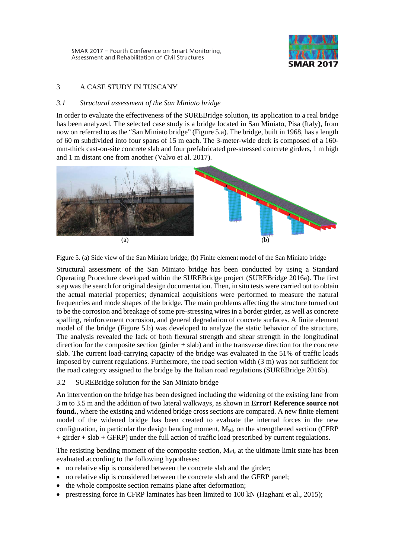

# 3 A CASE STUDY IN TUSCANY

#### *3.1 Structural assessment of the San Miniato bridge*

In order to evaluate the effectiveness of the SUREBridge solution, its application to a real bridge has been analyzed. The selected case study is a bridge located in San Miniato, Pisa (Italy), from now on referred to as the "San Miniato bridge" [\(Figure 5.](#page-5-0)a). The bridge, built in 1968, has a length of 60 m subdivided into four spans of 15 m each. The 3-meter-wide deck is composed of a 160 mm-thick cast-on-site concrete slab and four prefabricated pre-stressed concrete girders, 1 m high and 1 m distant one from another (Valvo et al. 2017).



Figure 5. (a) Side view of the San Miniato bridge; (b) Finite element model of the San Miniato bridge

<span id="page-5-0"></span>Structural assessment of the San Miniato bridge has been conducted by using a Standard Operating Procedure developed within the SUREBridge project (SUREBridge 2016a). The first step was the search for original design documentation. Then, in situ tests were carried out to obtain the actual material properties; dynamical acquisitions were performed to measure the natural frequencies and mode shapes of the bridge. The main problems affecting the structure turned out to be the corrosion and breakage of some pre-stressing wires in a border girder, as well as concrete spalling, reinforcement corrosion, and general degradation of concrete surfaces. A finite element model of the bridge [\(Figure 5.](#page-5-0)b) was developed to analyze the static behavior of the structure. The analysis revealed the lack of both flexural strength and shear strength in the longitudinal direction for the composite section (girder + slab) and in the transverse direction for the concrete slab. The current load-carrying capacity of the bridge was evaluated in the 51% of traffic loads imposed by current regulations. Furthermore, the road section width (3 m) was not sufficient for the road category assigned to the bridge by the Italian road regulations (SUREBridge 2016b).

#### 3.2 SUREBridge solution for the San Miniato bridge

An intervention on the bridge has been designed including the widening of the existing lane from 3 m to 3.5 m and the addition of two lateral walkways, as shown in **Error! Reference source not found.**, where the existing and widened bridge cross sections are compared. A new finite element model of the widened bridge has been created to evaluate the internal forces in the new configuration, in particular the design bending moment, Msd, on the strengthened section (CFRP + girder + slab + GFRP) under the full action of traffic load prescribed by current regulations.

The resisting bending moment of the composite section, M<sub>rd</sub>, at the ultimate limit state has been evaluated according to the following hypotheses:

- no relative slip is considered between the concrete slab and the girder;
- no relative slip is considered between the concrete slab and the GFRP panel;
- the whole composite section remains plane after deformation;
- prestressing force in CFRP laminates has been limited to 100 kN (Haghani et al., 2015);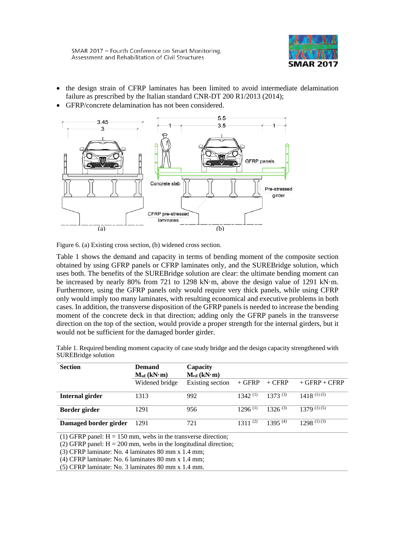

- the design strain of CFRP laminates has been limited to avoid intermediate delamination failure as prescribed by the Italian standard CNR-DT 200 R1/2013 (2014);
- GFRP/concrete delamination has not been considered.



Figure 6. (a) Existing cross section, (b) widened cross section.

[Table 1](#page-6-0) shows the demand and capacity in terms of bending moment of the composite section obtained by using GFRP panels or CFRP laminates only, and the SUREBridge solution, which uses both. The benefits of the SUREBridge solution are clear: the ultimate bending moment can be increased by nearly 80% from 721 to 1298 kN·m, above the design value of 1291 kN·m. Furthermore, using the GFRP panels only would require very thick panels, while using CFRP only would imply too many laminates, with resulting economical and executive problems in both cases. In addition, the transverse disposition of the GFRP panels is needed to increase the bending moment of the concrete deck in that direction; adding only the GFRP panels in the transverse direction on the top of the section, would provide a proper strength for the internal girders, but it would not be sufficient for the damaged border girder.

<span id="page-6-0"></span>Table 1. Required bending moment capacity of case study bridge and the design capacity strengthened with SUREBridge solution

| <b>Section</b>        | <b>Demand</b>   | Capacity         |              |              |                 |
|-----------------------|-----------------|------------------|--------------|--------------|-----------------|
|                       | $M_{sd}$ (kN·m) | $M_{rd}$ (kN·m)  |              |              |                 |
|                       | Widened bridge  | Existing section | $+$ GFRP     | $+$ CFRP     | $+$ GFRP + CFRP |
| Internal girder       | 1313            | 992              | $1342^{(1)}$ | 1373(3)      | $1418^{(1)(5)}$ |
| Border girder         | 1291            | 956              | $1296^{(1)}$ | $1326^{(3)}$ | $1379^{(1)(5)}$ |
| Damaged border girder | 1291            | 721              | $1311^{(2)}$ | $1395^{(4)}$ | $1298^{(1)(3)}$ |

(1) GFRP panel:  $H = 150$  mm, webs in the transverse direction;

(2) GFRP panel:  $H = 200$  mm, webs in the longitudinal direction;

(3) CFRP laminate: No. 4 laminates 80 mm x 1.4 mm;

(4) CFRP laminate: No. 6 laminates 80 mm x 1.4 mm;

(5) CFRP laminate: No. 3 laminates 80 mm x 1.4 mm.